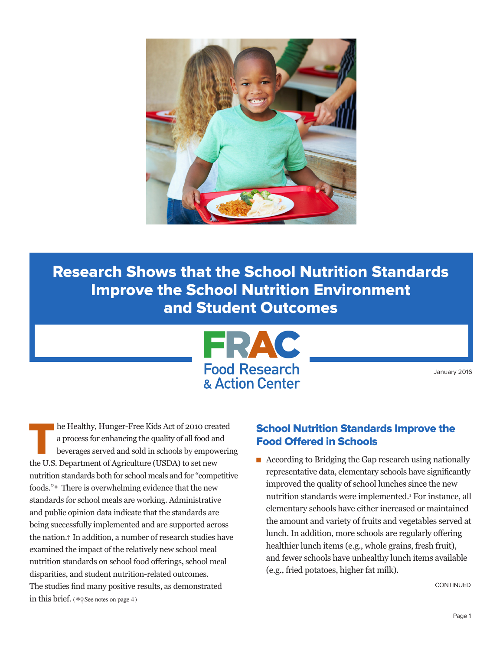

Research Shows that the School Nutrition Standards Improve the School Nutrition Environment and Student Outcomes



January 2016

The Healthy, Hunger-Free Kids Act of 2010 created<br>a process for enhancing the quality of all food and<br>beverages served and sold in schools by empowering<br>the H.S. Department of Agriculture (HSDA) to act now. a process for enhancing the quality of all food and beverages served and sold in schools by empowering the U.S. Department of Agriculture (USDA) to set new nutrition standards both for school meals and for "competitive foods."\* There is overwhelming evidence that the new standards for school meals are working. Administrative and public opinion data indicate that the standards are being successfully implemented and are supported across the nation.† In addition, a number of research studies have examined the impact of the relatively new school meal nutrition standards on school food offerings, school meal disparities, and student nutrition-related outcomes. The studies find many positive results, as demonstrated in this brief. ( **\*†**See notes on page 4 )

#### School Nutrition Standards Improve the Food Offered in Schools

 $\blacksquare$  According to Bridging the Gap research using nationally representative data, elementary schools have significantly improved the quality of school lunches since the new nutrition standards were implemented.1 For instance, all elementary schools have either increased or maintained the amount and variety of fruits and vegetables served at lunch. In addition, more schools are regularly offering healthier lunch items (e.g., whole grains, fresh fruit), and fewer schools have unhealthy lunch items available (e.g., fried potatoes, higher fat milk).

CONTINUED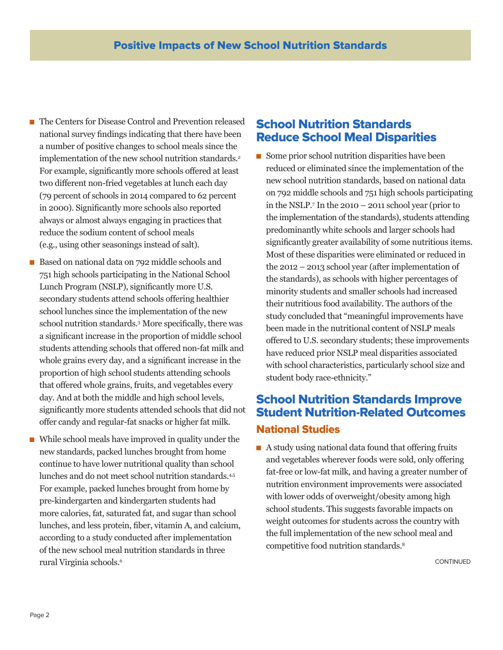- n The Centers for Disease Control and Prevention released national survey findings indicating that there have been a number of positive changes to school meals since the implementation of the new school nutrition standards.<sup>2</sup> For example, significantly more schools offered at least two different non-fried vegetables at lunch each day (79 percent of schools in 2014 compared to 62 percent in 2000). Significantly more schools also reported always or almost always engaging in practices that reduce the sodium content of school meals (e.g., using other seasonings instead of salt).
- Based on national data on 792 middle schools and 751 high schools participating in the National School Lunch Program (NSLP), significantly more U.S. secondary students attend schools offering healthier school lunches since the implementation of the new school nutrition standards.3 More specifically, there was a significant increase in the proportion of middle school students attending schools that offered non-fat milk and whole grains every day, and a significant increase in the proportion of high school students attending schools that offered whole grains, fruits, and vegetables every day. And at both the middle and high school levels, significantly more students attended schools that did not offer candy and regular-fat snacks or higher fat milk.
- n While school meals have improved in quality under the new standards, packed lunches brought from home continue to have lower nutritional quality than school lunches and do not meet school nutrition standards.<sup>4,5</sup> For example, packed lunches brought from home by pre-kindergarten and kindergarten students had more calories, fat, saturated fat, and sugar than school lunches, and less protein, fiber, vitamin A, and calcium, according to a study conducted after implementation of the new school meal nutrition standards in three rural Virginia schools.6

## School Nutrition Standards Reduce School Meal Disparities

 $\blacksquare$  Some prior school nutrition disparities have been reduced or eliminated since the implementation of the new school nutrition standards, based on national data on 792 middle schools and 751 high schools participating in the NSLP.7 In the 2010 – 2011 school year (prior to the implementation of the standards), students attending predominantly white schools and larger schools had significantly greater availability of some nutritious items. Most of these disparities were eliminated or reduced in the 2012 – 2013 school year (after implementation of the standards), as schools with higher percentages of minority students and smaller schools had increased their nutritious food availability. The authors of the study concluded that "meaningful improvements have been made in the nutritional content of NSLP meals offered to U.S. secondary students; these improvements have reduced prior NSLP meal disparities associated with school characteristics, particularly school size and student body race-ethnicity."

# School Nutrition Standards Improve Student Nutrition-Related Outcomes National Studies

 $\blacksquare$  A study using national data found that offering fruits and vegetables wherever foods were sold, only offering fat-free or low-fat milk, and having a greater number of nutrition environment improvements were associated with lower odds of overweight/obesity among high school students. This suggests favorable impacts on weight outcomes for students across the country with the full implementation of the new school meal and competitive food nutrition standards.8

CONTINUED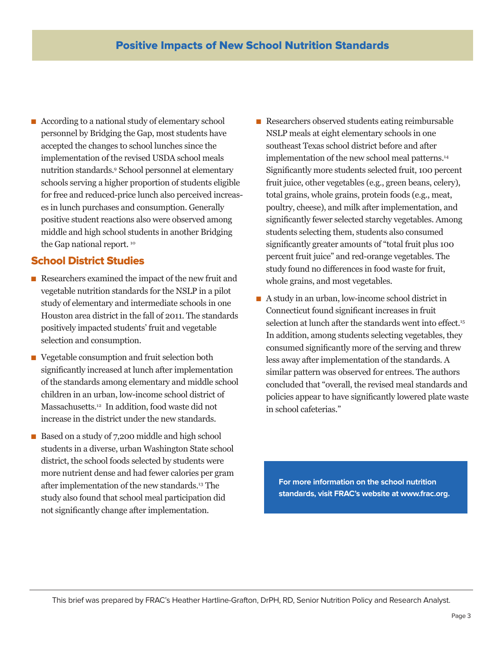n According to a national study of elementary school personnel by Bridging the Gap, most students have accepted the changes to school lunches since the implementation of the revised USDA school meals nutrition standards.9 School personnel at elementary schools serving a higher proportion of students eligible for free and reduced-price lunch also perceived increases in lunch purchases and consumption. Generally positive student reactions also were observed among middle and high school students in another Bridging the Gap national report.<sup>10</sup>

### School District Studies

- n Researchers examined the impact of the new fruit and vegetable nutrition standards for the NSLP in a pilot study of elementary and intermediate schools in one Houston area district in the fall of 2011. The standards positively impacted students' fruit and vegetable selection and consumption.
- $\blacksquare$  Vegetable consumption and fruit selection both significantly increased at lunch after implementation of the standards among elementary and middle school children in an urban, low-income school district of Massachusetts.12 In addition, food waste did not increase in the district under the new standards.
- Based on a study of 7,200 middle and high school students in a diverse, urban Washington State school district, the school foods selected by students were more nutrient dense and had fewer calories per gram after implementation of the new standards.13 The study also found that school meal participation did not significantly change after implementation.
- Researchers observed students eating reimbursable NSLP meals at eight elementary schools in one southeast Texas school district before and after implementation of the new school meal patterns.<sup>14</sup> Significantly more students selected fruit, 100 percent fruit juice, other vegetables (e.g., green beans, celery), total grains, whole grains, protein foods (e.g., meat, poultry, cheese), and milk after implementation, and significantly fewer selected starchy vegetables. Among students selecting them, students also consumed significantly greater amounts of "total fruit plus 100 percent fruit juice" and red-orange vegetables. The study found no differences in food waste for fruit, whole grains, and most vegetables.
- n A study in an urban, low-income school district in Connecticut found significant increases in fruit selection at lunch after the standards went into effect.<sup>15</sup> In addition, among students selecting vegetables, they consumed significantly more of the serving and threw less away after implementation of the standards. A similar pattern was observed for entrees. The authors concluded that "overall, the revised meal standards and policies appear to have significantly lowered plate waste in school cafeterias."

**For more information on the school nutrition standards, visit FRAC's website at www.frac.org.**